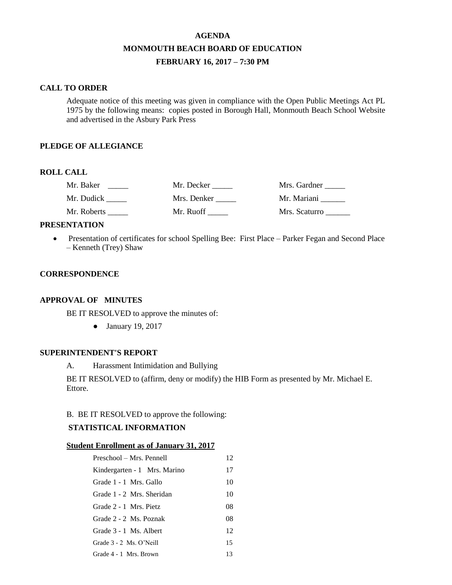# **AGENDA MONMOUTH BEACH BOARD OF EDUCATION FEBRUARY 16, 2017 – 7:30 PM**

### **CALL TO ORDER**

Adequate notice of this meeting was given in compliance with the Open Public Meetings Act PL 1975 by the following means: copies posted in Borough Hall, Monmouth Beach School Website and advertised in the Asbury Park Press

## **PLEDGE OF ALLEGIANCE**

## **ROLL CALL**

| Mr. Baker   | Mr. Decker  | Mrs. Gardner  |
|-------------|-------------|---------------|
| Mr. Dudick  | Mrs. Denker | Mr. Mariani   |
| Mr. Roberts | Mr. Ruoff   | Mrs. Scaturro |

### **PRESENTATION**

• Presentation of certificates for school Spelling Bee: First Place – Parker Fegan and Second Place – Kenneth (Trey) Shaw

## **CORRESPONDENCE**

## **APPROVAL OF MINUTES**

BE IT RESOLVED to approve the minutes of:

● January 19, 2017

### **SUPERINTENDENT'S REPORT**

A. Harassment Intimidation and Bullying

BE IT RESOLVED to (affirm, deny or modify) the HIB Form as presented by Mr. Michael E. Ettore.

## B. BE IT RESOLVED to approve the following:

## **STATISTICAL INFORMATION**

#### **Student Enrollment as of January 31, 2017**

| Preschool – Mrs. Pennell     | 12 |
|------------------------------|----|
| Kindergarten - 1 Mrs. Marino | 17 |
| Grade 1 - 1 Mrs. Gallo       | 10 |
| Grade 1 - 2 Mrs. Sheridan    | 10 |
| Grade 2 - 1 Mrs. Pietz       | 08 |
| Grade 2 - 2 Ms. Poznak       | 08 |
| Grade 3 - 1 Ms. Albert       | 12 |
| Grade $3 - 2$ Ms. O'Neill    | 15 |
| Grade 4 - 1 Mrs. Brown       | 13 |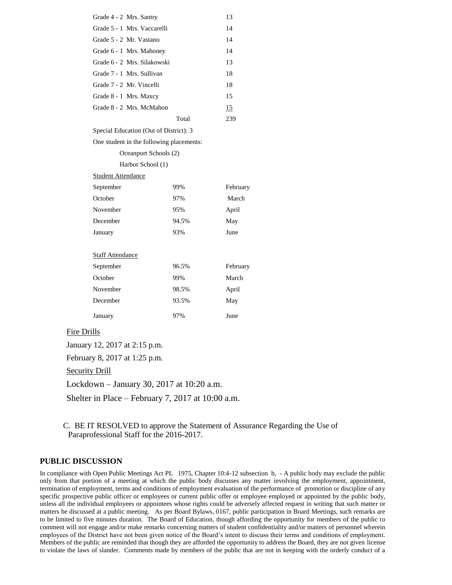| Grade 4 - 2 Mrs. Santry                  |                       | 13       |  |
|------------------------------------------|-----------------------|----------|--|
| Grade 5 - 1 Mrs. Vaccarelli              |                       | 14       |  |
| Grade 5 - 2 Mr. Vastano                  |                       | 14       |  |
| Grade 6 - 1 Mrs. Mahoney                 |                       | 14       |  |
| Grade 6 - 2 Mrs. Silakowski              |                       | 13       |  |
| Grade 7 - 1 Mrs. Sullivan                |                       | 18       |  |
| Grade 7 - 2 Mr. Vincelli                 |                       | 18       |  |
| Grade 8 - 1 Mrs. Maxcy                   |                       | 15       |  |
| Grade 8 - 2 Mrs. McMahon                 |                       | 15       |  |
|                                          | Total                 | 239      |  |
| Special Education (Out of District): 3   |                       |          |  |
| One student in the following placements: |                       |          |  |
|                                          | Oceanport Schools (2) |          |  |
| Harbor School (1)                        |                       |          |  |
| <b>Student Attendance</b>                |                       |          |  |
| September                                | 99%                   | February |  |
| October                                  | 97%                   | March    |  |
| November                                 | 95%                   | April    |  |
| December                                 | 94.5%                 | May      |  |
| January                                  | 93%                   | June     |  |
|                                          |                       |          |  |
| <b>Staff Attendance</b>                  |                       |          |  |
| September                                | 96.5%                 | February |  |
| October                                  | 99%                   | March    |  |
| November                                 | 98.5%                 | April    |  |
| December                                 | 93.5%                 | May      |  |
| January                                  | 97%                   | June     |  |

### Fire Drills

January 12, 2017 at 2:15 p.m.

February 8, 2017 at 1:25 p.m.

Security Drill

Lockdown – January 30, 2017 at 10:20 a.m.

Shelter in Place – February 7, 2017 at 10:00 a.m.

C. BE IT RESOLVED to approve the Statement of Assurance Regarding the Use of Paraprofessional Staff for the 2016-2017.

#### **PUBLIC DISCUSSION**

In compliance with Open Public Meetings Act PL 1975, Chapter 10:4-12 subsection b, - A public body may exclude the public only from that portion of a meeting at which the public body discusses any matter involving the employment, appointment, termination of employment, terms and conditions of employment evaluation of the performance of promotion or discipline of any specific prospective public officer or employees or current public offer or employee employed or appointed by the public body, unless all the individual employees or appointees whose rights could be adversely affected request in writing that such matter or matters be discussed at a public meeting. As per Board Bylaws, 0167, public participation in Board Meetings, such remarks are to be limited to five minutes duration. The Board of Education, though affording the opportunity for members of the public to comment will not engage and/or make remarks concerning matters of student confidentiality and/or matters of personnel wherein employees of the District have not been given notice of the Board's intent to discuss their terms and conditions of employment. Members of the public are reminded that though they are afforded the opportunity to address the Board, they are not given license to violate the laws of slander. Comments made by members of the public that are not in keeping with the orderly conduct of a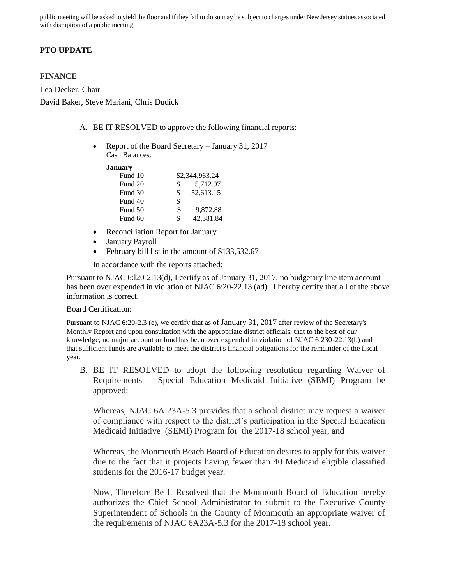public meeting will be asked to yield the floor and if they fail to do so may be subject to charges under New Jersey statues associated with disruption of a public meeting.

## **PTO UPDATE**

#### **FINANCE**

Leo Decker, Chair David Baker, Steve Mariani, Chris Dudick

- A. BE IT RESOLVED to approve the following financial reports:
	- Report of the Board Secretary January 31, 2017 Cash Balances:

#### **January**

| Fund 10 | \$2,344,963.24  |
|---------|-----------------|
| Fund 20 | \$<br>5.712.97  |
| Fund 30 | \$<br>52,613.15 |
| Fund 40 | \$              |
| Fund 50 | \$<br>9,872.88  |
| Fund 60 | \$<br>42,381.84 |

- Reconciliation Report for January
- January Payroll
- February bill list in the amount of \$133,532.67

In accordance with the reports attached:

Pursuant to NJAC 6:l20-2.13(d), I certify as of January 31, 2017, no budgetary line item account has been over expended in violation of NJAC 6:20-22.13 (ad). I hereby certify that all of the above information is correct.

#### Board Certification:

Pursuant to NJAC 6:20-2.3 (e), we certify that as of January 31, 2017 after review of the Secretary's Monthly Report and upon consultation with the appropriate district officials, that to the best of our knowledge, no major account or fund has been over expended in violation of NJAC 6:230-22.13(b) and that sufficient funds are available to meet the district's financial obligations for the remainder of the fiscal year.

B. BE IT RESOLVED to adopt the following resolution regarding Waiver of Requirements – Special Education Medicaid Initiative (SEMI) Program be approved:

Whereas, NJAC 6A:23A-5.3 provides that a school district may request a waiver of compliance with respect to the district's participation in the Special Education Medicaid Initiative (SEMI) Program for the 2017-18 school year, and

Whereas, the Monmouth Beach Board of Education desires to apply for this waiver due to the fact that it projects having fewer than 40 Medicaid eligible classified students for the 2016-17 budget year.

Now, Therefore Be It Resolved that the Monmouth Board of Education hereby authorizes the Chief School Administrator to submit to the Executive County Superintendent of Schools in the County of Monmouth an appropriate waiver of the requirements of NJAC 6A23A-5.3 for the 2017-18 school year.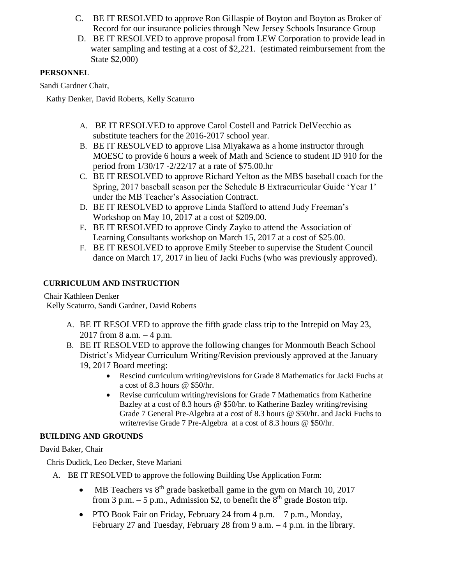- C. BE IT RESOLVED to approve Ron Gillaspie of Boyton and Boyton as Broker of Record for our insurance policies through New Jersey Schools Insurance Group
- D. BE IT RESOLVED to approve proposal from LEW Corporation to provide lead in water sampling and testing at a cost of \$2,221. (estimated reimbursement from the State \$2,000)

# **PERSONNEL**

Sandi Gardner Chair,

Kathy Denker, David Roberts, Kelly Scaturro

- A. BE IT RESOLVED to approve Carol Costell and Patrick DelVecchio as substitute teachers for the 2016-2017 school year.
- B. BE IT RESOLVED to approve Lisa Miyakawa as a home instructor through MOESC to provide 6 hours a week of Math and Science to student ID 910 for the period from 1/30/17 -2/22/17 at a rate of \$75.00.hr
- C. BE IT RESOLVED to approve Richard Yelton as the MBS baseball coach for the Spring, 2017 baseball season per the Schedule B Extracurricular Guide 'Year 1' under the MB Teacher's Association Contract.
- D. BE IT RESOLVED to approve Linda Stafford to attend Judy Freeman's Workshop on May 10, 2017 at a cost of \$209.00.
- E. BE IT RESOLVED to approve Cindy Zayko to attend the Association of Learning Consultants workshop on March 15, 2017 at a cost of \$25.00.
- F. BE IT RESOLVED to approve Emily Steeber to supervise the Student Council dance on March 17, 2017 in lieu of Jacki Fuchs (who was previously approved).

## **CURRICULUM AND INSTRUCTION**

Chair Kathleen Denker

Kelly Scaturro, Sandi Gardner, David Roberts

- A. BE IT RESOLVED to approve the fifth grade class trip to the Intrepid on May 23, 2017 from 8 a.m. – 4 p.m.
- B. BE IT RESOLVED to approve the following changes for Monmouth Beach School District's Midyear Curriculum Writing/Revision previously approved at the January 19, 2017 Board meeting:
	- Rescind curriculum writing/revisions for Grade 8 Mathematics for Jacki Fuchs at a cost of 8.3 hours @ \$50/hr.
	- Revise curriculum writing/revisions for Grade 7 Mathematics from Katherine Bazley at a cost of 8.3 hours @ \$50/hr. to Katherine Bazley writing/revising Grade 7 General Pre-Algebra at a cost of 8.3 hours @ \$50/hr. and Jacki Fuchs to write/revise Grade 7 Pre-Algebra at a cost of 8.3 hours @ \$50/hr.

## **BUILDING AND GROUNDS**

David Baker, Chair

Chris Dudick, Leo Decker, Steve Mariani

- A. BE IT RESOLVED to approve the following Building Use Application Form:
	- MB Teachers vs  $8<sup>th</sup>$  grade basketball game in the gym on March 10, 2017 from 3 p.m.  $-5$  p.m., Admission \$2, to benefit the  $8<sup>th</sup>$  grade Boston trip.
	- PTO Book Fair on Friday, February 24 from 4 p.m. 7 p.m., Monday, February 27 and Tuesday, February 28 from 9 a.m. – 4 p.m. in the library.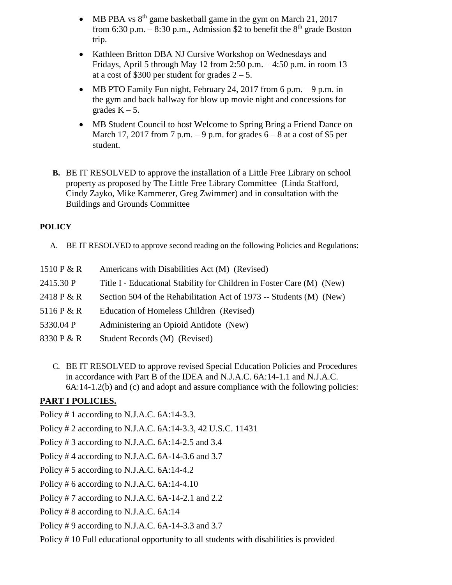- MB PBA vs  $8<sup>th</sup>$  game basketball game in the gym on March 21, 2017 from 6:30 p.m. – 8:30 p.m., Admission \$2 to benefit the  $8<sup>th</sup>$  grade Boston trip.
- Kathleen Britton DBA NJ Cursive Workshop on Wednesdays and Fridays, April 5 through May 12 from 2:50 p.m. – 4:50 p.m. in room 13 at a cost of \$300 per student for grades  $2 - 5$ .
- MB PTO Family Fun night, February 24, 2017 from 6 p.m.  $-9$  p.m. in the gym and back hallway for blow up movie night and concessions for grades  $K - 5$ .
- MB Student Council to host Welcome to Spring Bring a Friend Dance on March 17, 2017 from 7 p.m.  $-9$  p.m. for grades  $6 - 8$  at a cost of \$5 per student.
- **B.** BE IT RESOLVED to approve the installation of a Little Free Library on school property as proposed by The Little Free Library Committee (Linda Stafford, Cindy Zayko, Mike Kammerer, Greg Zwimmer) and in consultation with the Buildings and Grounds Committee

# **POLICY**

A. BE IT RESOLVED to approve second reading on the following Policies and Regulations:

| 1510 P $&$ R | Americans with Disabilities Act (M) (Revised)                         |
|--------------|-----------------------------------------------------------------------|
| 2415.30 P    | Title I - Educational Stability for Children in Foster Care (M) (New) |
| 2418 P & R   | Section 504 of the Rehabilitation Act of 1973 -- Students (M) (New)   |
| 5116 P & R   | Education of Homeless Children (Revised)                              |
| 5330.04 P    | Administering an Opioid Antidote (New)                                |
| 8330 P & R   | Student Records (M) (Revised)                                         |

C. BE IT RESOLVED to approve revised Special Education Policies and Procedures in accordance with Part B of the IDEA and N.J.A.C. 6A:14-1.1 and N.J.A.C. 6A:14-1.2(b) and (c) and adopt and assure compliance with the following policies:

# **PART I POLICIES.**

Policy # 1 according to N.J.A.C. 6A:14-3.3.

Policy # 2 according to N.J.A.C. 6A:14-3.3, 42 U.S.C. 11431

Policy # 3 according to N.J.A.C. 6A:14-2.5 and 3.4

Policy # 4 according to N.J.A.C. 6A-14-3.6 and 3.7

- Policy # 5 according to N.J.A.C. 6A:14-4.2
- Policy # 6 according to N.J.A.C. 6A:14-4.10
- Policy # 7 according to N.J.A.C. 6A-14-2.1 and 2.2
- Policy # 8 according to N.J.A.C. 6A:14
- Policy # 9 according to N.J.A.C. 6A-14-3.3 and 3.7
- Policy # 10 Full educational opportunity to all students with disabilities is provided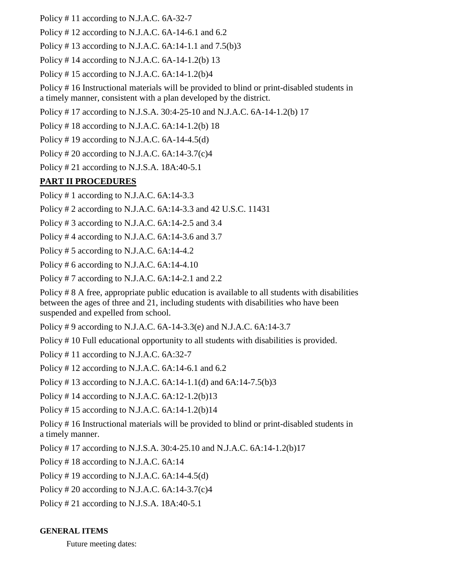Policy # 11 according to N.J.A.C. 6A-32-7

Policy # 12 according to N.J.A.C. 6A-14-6.1 and 6.2

Policy #13 according to N.J.A.C.  $6A:14-1.1$  and  $7.5(b)3$ 

Policy # 14 according to N.J.A.C. 6A-14-1.2(b) 13

Policy #15 according to N.J.A.C.  $6A:14-1.2(b)4$ 

Policy # 16 Instructional materials will be provided to blind or print-disabled students in a timely manner, consistent with a plan developed by the district.

Policy # 17 according to N.J.S.A. 30:4-25-10 and N.J.A.C. 6A-14-1.2(b) 17

Policy  $\#$  18 according to N.J.A.C. 6A:14-1.2(b) 18

Policy # 19 according to N.J.A.C. 6A-14-4.5(d)

Policy # 20 according to N.J.A.C.  $6A:14-3.7(c)4$ 

Policy # 21 according to N.J.S.A. 18A:40-5.1

# **PART II PROCEDURES**

Policy # 1 according to N.J.A.C. 6A:14-3.3

Policy # 2 according to N.J.A.C. 6A:14-3.3 and 42 U.S.C. 11431

Policy # 3 according to N.J.A.C. 6A:14-2.5 and 3.4

Policy # 4 according to N.J.A.C. 6A:14-3.6 and 3.7

Policy # 5 according to N.J.A.C. 6A:14-4.2

Policy # 6 according to N.J.A.C. 6A:14-4.10

Policy # 7 according to N.J.A.C. 6A:14-2.1 and 2.2

Policy # 8 A free, appropriate public education is available to all students with disabilities between the ages of three and 21, including students with disabilities who have been suspended and expelled from school.

Policy # 9 according to N.J.A.C. 6A-14-3.3(e) and N.J.A.C. 6A:14-3.7

Policy # 10 Full educational opportunity to all students with disabilities is provided.

Policy # 11 according to N.J.A.C. 6A:32-7

Policy # 12 according to N.J.A.C. 6A:14-6.1 and 6.2

Policy # 13 according to N.J.A.C. 6A:14-1.1(d) and 6A:14-7.5(b)3

Policy #14 according to N.J.A.C.  $6A:12-1.2(b)13$ 

Policy #15 according to N.J.A.C.  $6A:14-1.2(b)14$ 

Policy # 16 Instructional materials will be provided to blind or print-disabled students in a timely manner.

Policy # 17 according to N.J.S.A. 30:4-25.10 and N.J.A.C. 6A:14-1.2(b)17

Policy # 18 according to N.J.A.C. 6A:14

Policy # 19 according to N.J.A.C. 6A:14-4.5(d)

Policy # 20 according to N.J.A.C.  $6A:14-3.7(c)4$ 

Policy # 21 according to N.J.S.A. 18A:40-5.1

## **GENERAL ITEMS**

Future meeting dates: